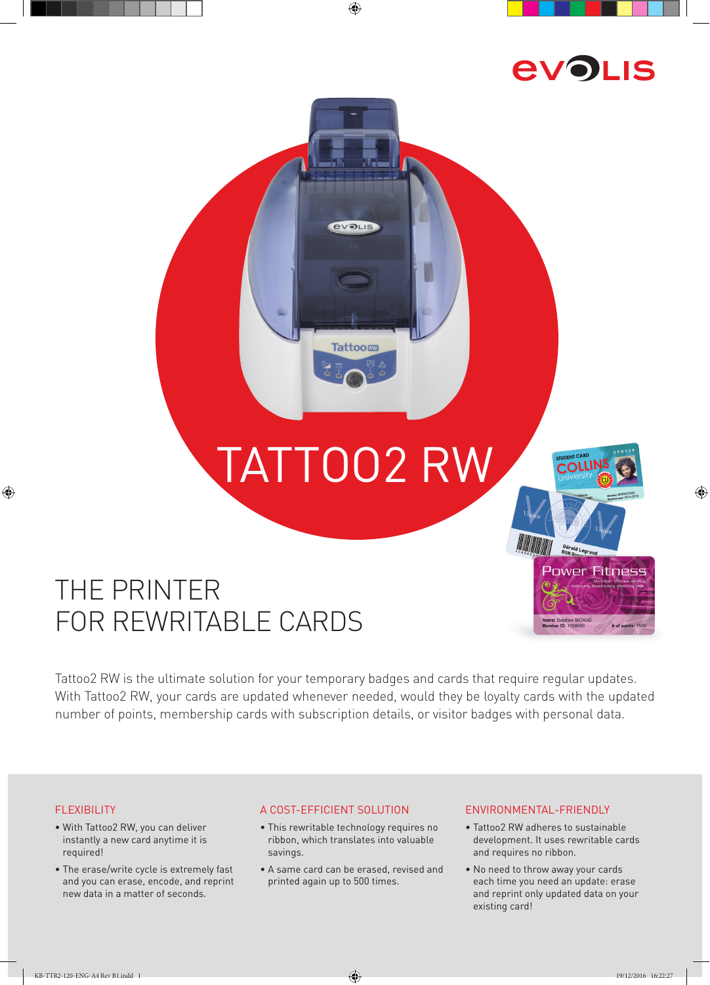

COL

Gérald Legrand

ame: Delphine BID.<br>Iomhar ID: 100856

**Power Fitness** 

t of points: 150

⊕

# TATTOO2 RW

**Tattoom** 

⊕

**EVOLIS** 

## THE PRINTER FOR REWRITABLE CARDS

Tattoo2 RW is the ultimate solution for your temporary badges and cards that require regular updates. With Tattoo2 RW, your cards are updated whenever needed, would they be loyalty cards with the updated number of points, membership cards with subscription details, or visitor badges with personal data.

#### FLEXIBILITY

 $\bigoplus$ 

- With Tattoo2 RW, you can deliver instantly a new card anytime it is required!
- The erase/write cycle is extremely fast and you can erase, encode, and reprint new data in a matter of seconds.

#### A COST-EFFICIENT SOLUTION

- This rewritable technology requires no ribbon, which translates into valuable savings.
- A same card can be erased, revised and printed again up to 500 times.

#### ENVIRONMENTAL-FRIENDLY

- Tattoo2 RW adheres to sustainable development. It uses rewritable cards and requires no ribbon.
- No need to throw away your cards each time you need an update: erase and reprint only updated data on your existing card!